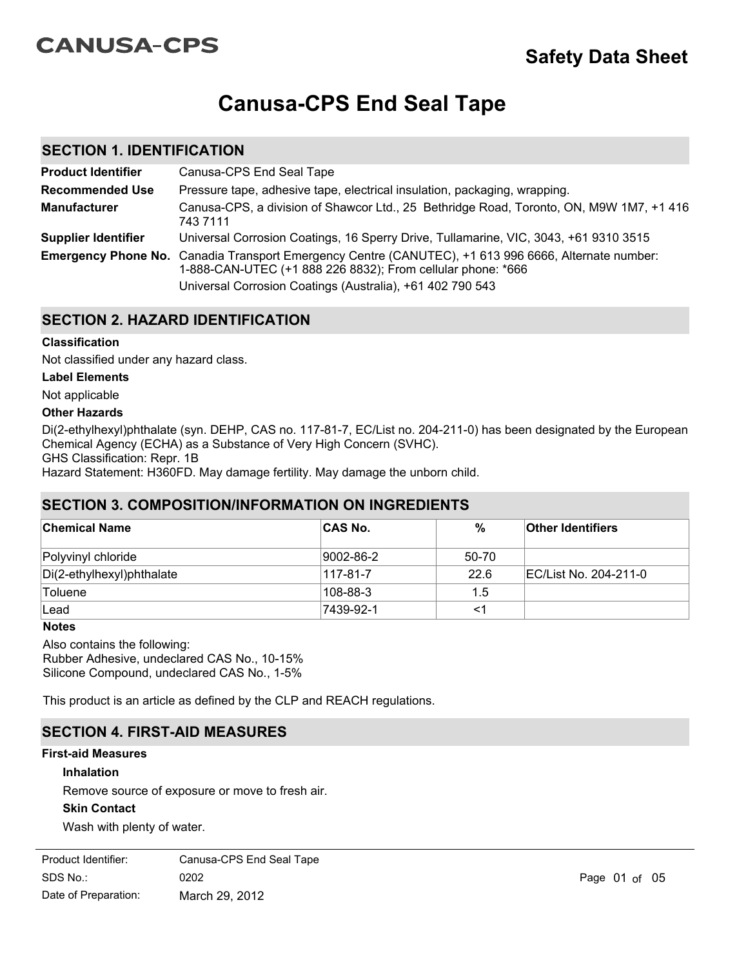# **CANUSA-CPS**

# **Canusa-CPS End Seal Tape**

## **SECTION 1. IDENTIFICATION**

| <b>Product Identifier</b>  | Canusa-CPS End Seal Tape                                                                                                                                                                                                         |
|----------------------------|----------------------------------------------------------------------------------------------------------------------------------------------------------------------------------------------------------------------------------|
| <b>Recommended Use</b>     | Pressure tape, adhesive tape, electrical insulation, packaging, wrapping.                                                                                                                                                        |
| <b>Manufacturer</b>        | Canusa-CPS, a division of Shawcor Ltd., 25 Bethridge Road, Toronto, ON, M9W 1M7, +1 416<br>743 7111                                                                                                                              |
| <b>Supplier Identifier</b> | Universal Corrosion Coatings, 16 Sperry Drive, Tullamarine, VIC, 3043, +61 9310 3515                                                                                                                                             |
|                            | Emergency Phone No. Canadia Transport Emergency Centre (CANUTEC), +1 613 996 6666, Alternate number:<br>1-888-CAN-UTEC (+1 888 226 8832); From cellular phone: *666<br>Universal Corrosion Coatings (Australia), +61 402 790 543 |

# **SECTION 2. HAZARD IDENTIFICATION**

#### **Classification**

Not classified under any hazard class.

#### **Label Elements**

#### Not applicable

#### **Other Hazards**

Di(2-ethylhexyl)phthalate (syn. DEHP, CAS no. 117-81-7, EC/List no. 204-211-0) has been designated by the European Chemical Agency (ECHA) as a Substance of Very High Concern (SVHC). GHS Classification: Repr. 1B Hazard Statement: H360FD. May damage fertility. May damage the unborn child.

# **SECTION 3. COMPOSITION/INFORMATION ON INGREDIENTS**

| <u>ULUI UN J. UUNIF UJITIUNINI UNNATIUN UN INUNLUILIN IJ</u> |           |       |                          |  |
|--------------------------------------------------------------|-----------|-------|--------------------------|--|
| <b>Chemical Name</b>                                         | ∣CAS No.  | %     | <b>Other Identifiers</b> |  |
| Polyvinyl chloride                                           | 9002-86-2 | 50-70 |                          |  |
| Di(2-ethylhexyl)phthalate                                    | 117-81-7  | 22.6  | EC/List No. 204-211-0    |  |
| Toluene                                                      | 108-88-3  | 1.5   |                          |  |
| Lead                                                         | 7439-92-1 | <1    |                          |  |

#### **Notes**

Also contains the following: Rubber Adhesive, undeclared CAS No., 10-15% Silicone Compound, undeclared CAS No., 1-5%

This product is an article as defined by the CLP and REACH regulations.

# **SECTION 4. FIRST-AID MEASURES**

#### **First-aid Measures**

#### **Inhalation**

Remove source of exposure or move to fresh air.

#### **Skin Contact**

Wash with plenty of water.

| Product Identifier:  | Canusa-CPS End Seal Tape |
|----------------------|--------------------------|
| SDS No.:             | 0202                     |
| Date of Preparation: | March 29, 2012           |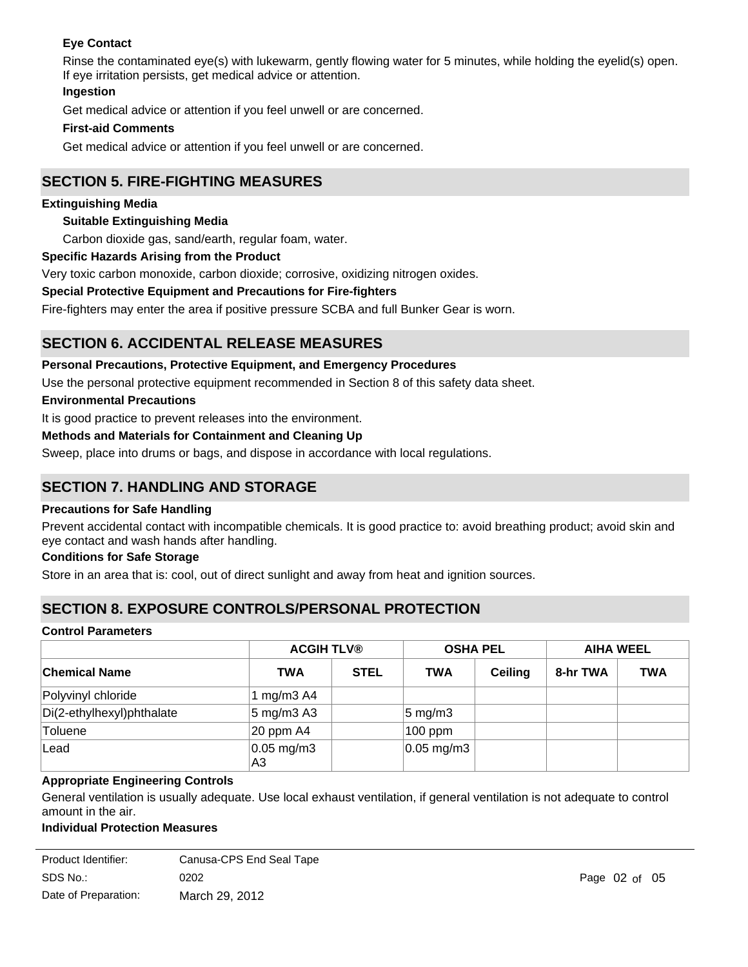## **Eye Contact**

Rinse the contaminated eye(s) with lukewarm, gently flowing water for 5 minutes, while holding the eyelid(s) open. If eye irritation persists, get medical advice or attention.

#### **Ingestion**

Get medical advice or attention if you feel unwell or are concerned.

#### **First-aid Comments**

Get medical advice or attention if you feel unwell or are concerned.

# **SECTION 5. FIRE-FIGHTING MEASURES**

#### **Extinguishing Media**

#### **Suitable Extinguishing Media**

Carbon dioxide gas, sand/earth, regular foam, water.

#### **Specific Hazards Arising from the Product**

Very toxic carbon monoxide, carbon dioxide; corrosive, oxidizing nitrogen oxides.

#### **Special Protective Equipment and Precautions for Fire-fighters**

Fire-fighters may enter the area if positive pressure SCBA and full Bunker Gear is worn.

# **SECTION 6. ACCIDENTAL RELEASE MEASURES**

#### **Personal Precautions, Protective Equipment, and Emergency Procedures**

Use the personal protective equipment recommended in Section 8 of this safety data sheet.

**Environmental Precautions**

It is good practice to prevent releases into the environment.

#### **Methods and Materials for Containment and Cleaning Up**

Sweep, place into drums or bags, and dispose in accordance with local regulations.

# **SECTION 7. HANDLING AND STORAGE**

#### **Precautions for Safe Handling**

Prevent accidental contact with incompatible chemicals. It is good practice to: avoid breathing product; avoid skin and eye contact and wash hands after handling.

#### **Conditions for Safe Storage**

Store in an area that is: cool, out of direct sunlight and away from heat and ignition sources.

# **SECTION 8. EXPOSURE CONTROLS/PERSONAL PROTECTION**

#### **Control Parameters**

|                           |                       | <b>ACGIH TLV®</b> |                        | <b>OSHA PEL</b> |          | <b>AIHA WEEL</b> |  |
|---------------------------|-----------------------|-------------------|------------------------|-----------------|----------|------------------|--|
| <b>Chemical Name</b>      | <b>TWA</b>            | <b>STEL</b>       | <b>TWA</b>             | <b>Ceiling</b>  | 8-hr TWA | <b>TWA</b>       |  |
| Polyvinyl chloride        | I mg/m $3$ A4         |                   |                        |                 |          |                  |  |
| Di(2-ethylhexyl)phthalate | $5 \text{ mg/m}$ 3 A3 |                   | $5 \text{ mg/m}$ 3     |                 |          |                  |  |
| <b>Toluene</b>            | $ 20$ ppm A4          |                   | $100$ ppm              |                 |          |                  |  |
| Lead                      | $0.05$ mg/m3<br>A3    |                   | $ 0.05 \text{ mg/m}3 $ |                 |          |                  |  |

#### **Appropriate Engineering Controls**

General ventilation is usually adequate. Use local exhaust ventilation, if general ventilation is not adequate to control amount in the air.

#### **Individual Protection Measures**

**Eye/Face Protection**

| Product Identifier:  | Canusa-CPS End Seal Tape |
|----------------------|--------------------------|
| SDS No.:             | 0202                     |
| Date of Preparation: | March 29, 2012           |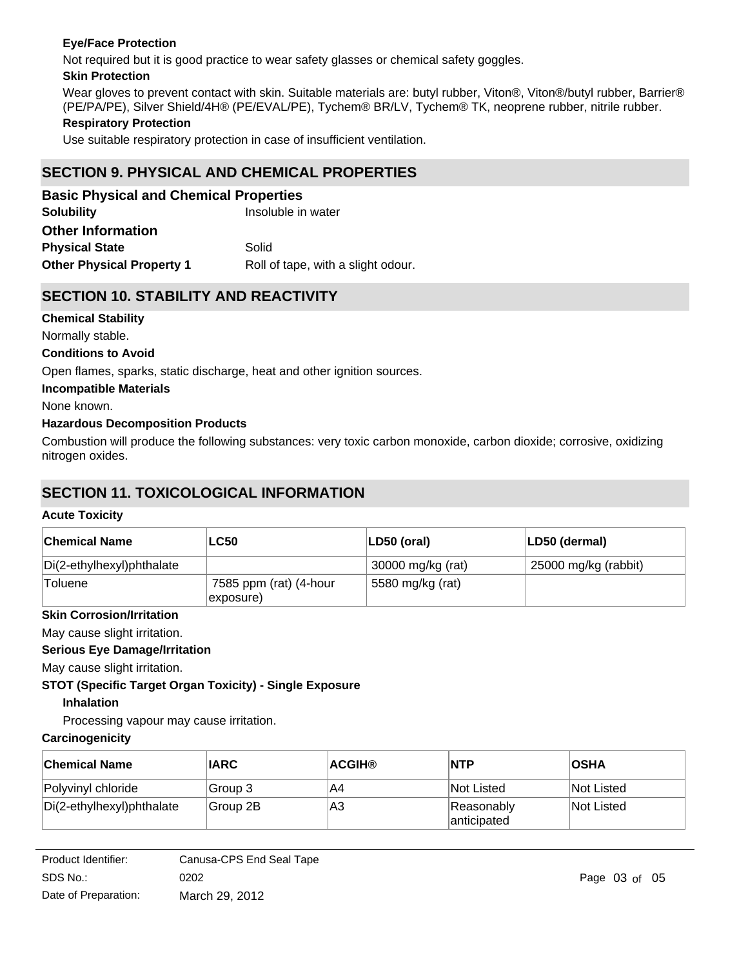### **Eye/Face Protection**

Not required but it is good practice to wear safety glasses or chemical safety goggles.

#### **Skin Protection**

Wear gloves to prevent contact with skin. Suitable materials are: butyl rubber, Viton®, Viton®/butyl rubber, Barrier® (PE/PA/PE), Silver Shield/4H® (PE/EVAL/PE), Tychem® BR/LV, Tychem® TK, neoprene rubber, nitrile rubber.

#### **Respiratory Protection**

Use suitable respiratory protection in case of insufficient ventilation.

# **SECTION 9. PHYSICAL AND CHEMICAL PROPERTIES**

| <b>Basic Physical and Chemical Properties</b>                          |       |  |  |  |
|------------------------------------------------------------------------|-------|--|--|--|
| <b>Solubility</b><br>Insoluble in water                                |       |  |  |  |
| <b>Other Information</b>                                               |       |  |  |  |
| <b>Physical State</b>                                                  | Solid |  |  |  |
| <b>Other Physical Property 1</b><br>Roll of tape, with a slight odour. |       |  |  |  |

# **SECTION 10. STABILITY AND REACTIVITY**

**Chemical Stability**

Normally stable.

#### **Conditions to Avoid**

Open flames, sparks, static discharge, heat and other ignition sources.

#### **Incompatible Materials**

None known.

#### **Hazardous Decomposition Products**

Combustion will produce the following substances: very toxic carbon monoxide, carbon dioxide; corrosive, oxidizing nitrogen oxides.

# **SECTION 11. TOXICOLOGICAL INFORMATION**

#### **Acute Toxicity**

| ∣Chemical Name            | <b>LC50</b>                         | ∣LD50 (oral)      | LD50 (dermal)        |
|---------------------------|-------------------------------------|-------------------|----------------------|
| Di(2-ethylhexyl)phthalate |                                     | 30000 mg/kg (rat) | 25000 mg/kg (rabbit) |
| Toluene                   | 7585 ppm (rat) (4-hour<br>exposure) | 5580 mg/kg (rat)  |                      |

#### **Skin Corrosion/Irritation**

May cause slight irritation.

#### **Serious Eye Damage/Irritation**

May cause slight irritation.

# **STOT (Specific Target Organ Toxicity) - Single Exposure**

# **Inhalation**

Processing vapour may cause irritation.

# **Carcinogenicity**

| <b>Chemical Name</b>      | <b>IARC</b> | <b>ACGIH®</b> | <b>NTP</b>                 | <b>OSHA</b> |
|---------------------------|-------------|---------------|----------------------------|-------------|
| Polyvinyl chloride        | Group 3     | IA4           | <b>Not Listed</b>          | Not Listed  |
| Di(2-ethylhexyl)phthalate | Group 2B    | lA3           | Reasonably<br>lanticipated | Not Listed  |

Product Identifier: SDS No.: Date of Preparation: 0202 **Page 03 of 05** March 29, 2012 Canusa-CPS End Seal Tape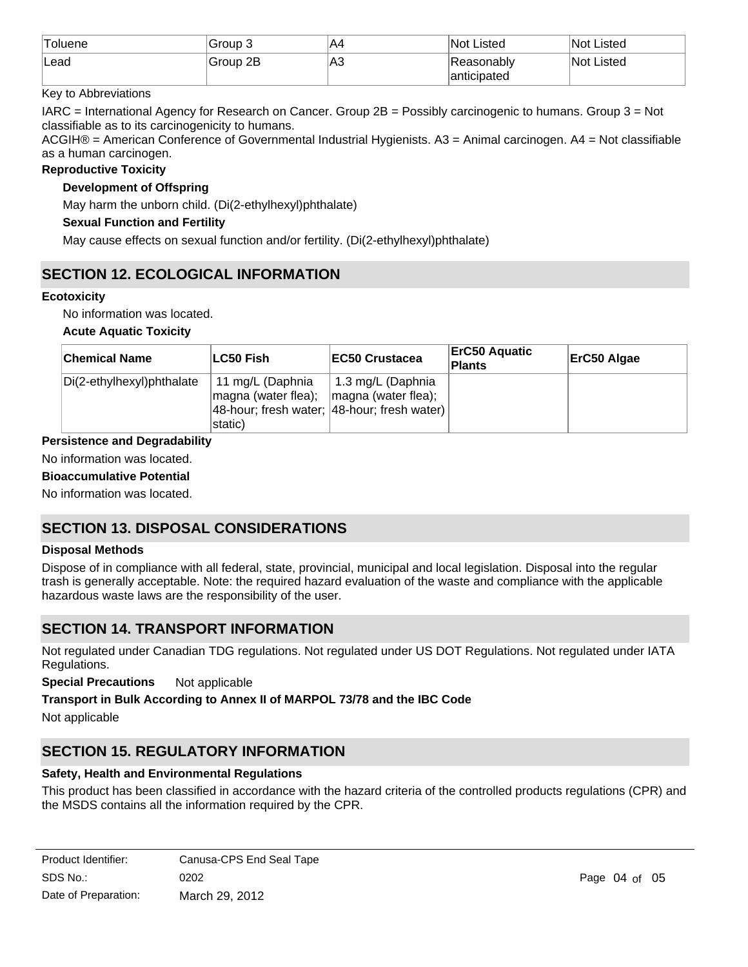| <b>Toluene</b> | Group 3  | IA4 | Not Listed   | Not Listed |
|----------------|----------|-----|--------------|------------|
| lLead          | Group 2B | ∣A3 | 'Reasonablv  | Not Listed |
|                |          |     | lanticipated |            |

### Key to Abbreviations

IARC = International Agency for Research on Cancer. Group 2B = Possibly carcinogenic to humans. Group 3 = Not classifiable as to its carcinogenicity to humans.

ACGIH® = American Conference of Governmental Industrial Hygienists. A3 = Animal carcinogen. A4 = Not classifiable as a human carcinogen.

#### **Reproductive Toxicity**

### **Development of Offspring**

May harm the unborn child. (Di(2-ethylhexyl)phthalate)

#### **Sexual Function and Fertility**

May cause effects on sexual function and/or fertility. (Di(2-ethylhexyl)phthalate)

# **SECTION 12. ECOLOGICAL INFORMATION**

#### **Ecotoxicity**

No information was located.

#### **Acute Aquatic Toxicity**

| <b>Chemical Name</b>      | ∣LC50 Fish                                          | <b>IEC50 Crustacea</b>                                                                          | <b>ErC50 Aquatic</b><br><b>Plants</b> | ErC50 Algae |
|---------------------------|-----------------------------------------------------|-------------------------------------------------------------------------------------------------|---------------------------------------|-------------|
| Di(2-ethylhexyl)phthalate | 11 mg/L (Daphnia<br> magna (water flea);<br>static) | 1.3 mg/L (Daphnia<br>$\vert$ magna (water flea);<br>48-hour; fresh water; 48-hour; fresh water) |                                       |             |

**Persistence and Degradability**

# No information was located.

**Bioaccumulative Potential**

No information was located.

# **SECTION 13. DISPOSAL CONSIDERATIONS**

#### **Disposal Methods**

Dispose of in compliance with all federal, state, provincial, municipal and local legislation. Disposal into the regular trash is generally acceptable. Note: the required hazard evaluation of the waste and compliance with the applicable hazardous waste laws are the responsibility of the user.

# **SECTION 14. TRANSPORT INFORMATION**

Not regulated under Canadian TDG regulations. Not regulated under US DOT Regulations. Not regulated under IATA Regulations.

**Special Precautions** Not applicable

#### **Transport in Bulk According to Annex II of MARPOL 73/78 and the IBC Code**

Not applicable

# **SECTION 15. REGULATORY INFORMATION**

#### **Safety, Health and Environmental Regulations**

This product has been classified in accordance with the hazard criteria of the controlled products regulations (CPR) and the MSDS contains all the information required by the CPR.

SDS No.: Date of Preparation: 0202 Page 04 of 05 March 29, 2012 Product Identifier: Canusa-CPS End Seal Tape